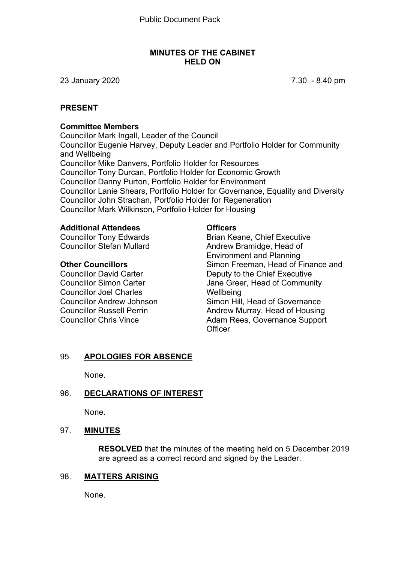#### **MINUTES OF THE CABINET HELD ON**

23 January 2020 7.30 - 8.40 pm

## **PRESENT**

#### **Committee Members**

Councillor Mark Ingall, Leader of the Council Councillor Eugenie Harvey, Deputy Leader and Portfolio Holder for Community and Wellbeing Councillor Mike Danvers, Portfolio Holder for Resources Councillor Tony Durcan, Portfolio Holder for Economic Growth Councillor Danny Purton, Portfolio Holder for Environment Councillor Lanie Shears, Portfolio Holder for Governance, Equality and Diversity Councillor John Strachan, Portfolio Holder for Regeneration Councillor Mark Wilkinson, Portfolio Holder for Housing

#### **Additional Attendees**

Councillor Tony Edwards Councillor Stefan Mullard

#### **Other Councillors**

Councillor David Carter Councillor Simon Carter Councillor Joel Charles Councillor Andrew Johnson Councillor Russell Perrin Councillor Chris Vince

#### **Officers**

Brian Keane, Chief Executive Andrew Bramidge, Head of Environment and Planning Simon Freeman, Head of Finance and Deputy to the Chief Executive Jane Greer, Head of Community **Wellbeing** Simon Hill, Head of Governance Andrew Murray, Head of Housing Adam Rees, Governance Support **Officer** 

## 95. **APOLOGIES FOR ABSENCE**

None.

## 96. **DECLARATIONS OF INTEREST**

None.

#### 97. **MINUTES**

**RESOLVED** that the minutes of the meeting held on 5 December 2019 are agreed as a correct record and signed by the Leader.

#### 98. **MATTERS ARISING**

None.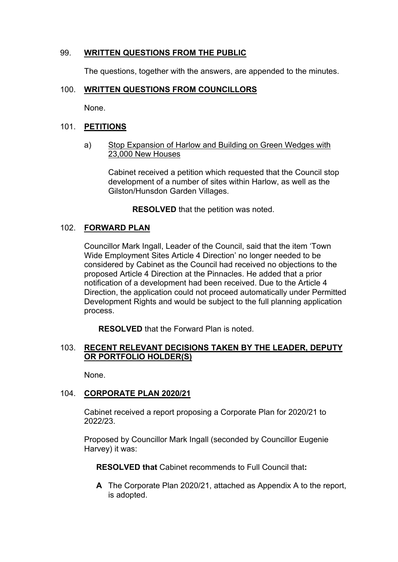## 99. **WRITTEN QUESTIONS FROM THE PUBLIC**

The questions, together with the answers, are appended to the minutes.

## 100. **WRITTEN QUESTIONS FROM COUNCILLORS**

None.

#### 101. **PETITIONS**

a) Stop Expansion of Harlow and Building on Green Wedges with 23,000 New Houses

Cabinet received a petition which requested that the Council stop development of a number of sites within Harlow, as well as the Gilston/Hunsdon Garden Villages.

**RESOLVED** that the petition was noted.

#### 102. **FORWARD PLAN**

Councillor Mark Ingall, Leader of the Council, said that the item 'Town Wide Employment Sites Article 4 Direction' no longer needed to be considered by Cabinet as the Council had received no objections to the proposed Article 4 Direction at the Pinnacles. He added that a prior notification of a development had been received. Due to the Article 4 Direction, the application could not proceed automatically under Permitted Development Rights and would be subject to the full planning application process.

**RESOLVED** that the Forward Plan is noted.

#### 103. **RECENT RELEVANT DECISIONS TAKEN BY THE LEADER, DEPUTY OR PORTFOLIO HOLDER(S)**

None.

#### 104. **CORPORATE PLAN 2020/21**

Cabinet received a report proposing a Corporate Plan for 2020/21 to 2022/23.

Proposed by Councillor Mark Ingall (seconded by Councillor Eugenie Harvey) it was:

**RESOLVED that** Cabinet recommends to Full Council that**:**

**A** The Corporate Plan 2020/21, attached as Appendix A to the report, is adopted.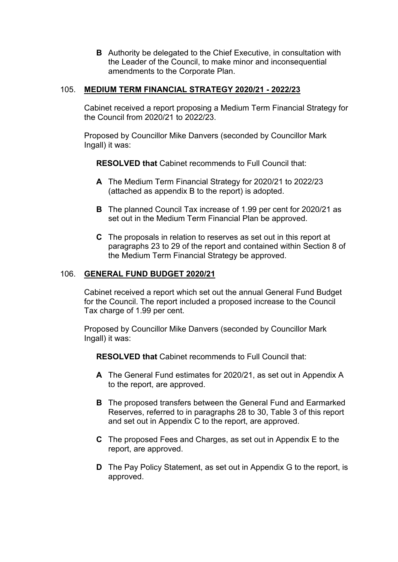**B** Authority be delegated to the Chief Executive, in consultation with the Leader of the Council, to make minor and inconsequential amendments to the Corporate Plan.

## 105. **MEDIUM TERM FINANCIAL STRATEGY 2020/21 - 2022/23**

Cabinet received a report proposing a Medium Term Financial Strategy for the Council from 2020/21 to 2022/23.

Proposed by Councillor Mike Danvers (seconded by Councillor Mark Ingall) it was:

**RESOLVED that** Cabinet recommends to Full Council that:

- **A** The Medium Term Financial Strategy for 2020/21 to 2022/23 (attached as appendix B to the report) is adopted.
- **B** The planned Council Tax increase of 1.99 per cent for 2020/21 as set out in the Medium Term Financial Plan be approved.
- **C** The proposals in relation to reserves as set out in this report at paragraphs 23 to 29 of the report and contained within Section 8 of the Medium Term Financial Strategy be approved.

#### 106. **GENERAL FUND BUDGET 2020/21**

Cabinet received a report which set out the annual General Fund Budget for the Council. The report included a proposed increase to the Council Tax charge of 1.99 per cent.

Proposed by Councillor Mike Danvers (seconded by Councillor Mark Ingall) it was:

**RESOLVED that** Cabinet recommends to Full Council that:

- **A** The General Fund estimates for 2020/21, as set out in Appendix A to the report, are approved.
- **B** The proposed transfers between the General Fund and Earmarked Reserves, referred to in paragraphs 28 to 30, Table 3 of this report and set out in Appendix C to the report, are approved.
- **C** The proposed Fees and Charges, as set out in Appendix E to the report, are approved.
- **D** The Pay Policy Statement, as set out in Appendix G to the report, is approved.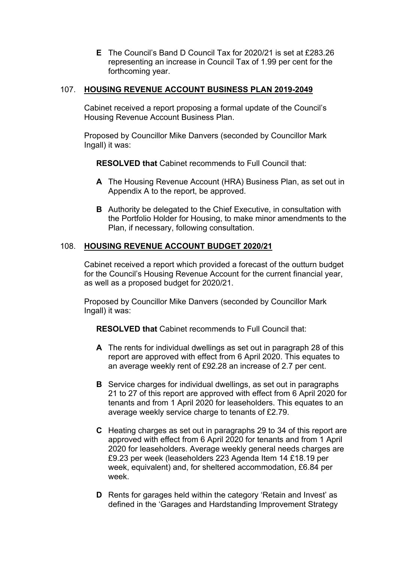**E** The Council's Band D Council Tax for 2020/21 is set at £283.26 representing an increase in Council Tax of 1.99 per cent for the forthcoming year.

## 107. **HOUSING REVENUE ACCOUNT BUSINESS PLAN 2019-2049**

Cabinet received a report proposing a formal update of the Council's Housing Revenue Account Business Plan.

Proposed by Councillor Mike Danvers (seconded by Councillor Mark Ingall) it was:

**RESOLVED that** Cabinet recommends to Full Council that:

- **A** The Housing Revenue Account (HRA) Business Plan, as set out in Appendix A to the report, be approved.
- **B** Authority be delegated to the Chief Executive, in consultation with the Portfolio Holder for Housing, to make minor amendments to the Plan, if necessary, following consultation.

#### 108. **HOUSING REVENUE ACCOUNT BUDGET 2020/21**

Cabinet received a report which provided a forecast of the outturn budget for the Council's Housing Revenue Account for the current financial year, as well as a proposed budget for 2020/21.

Proposed by Councillor Mike Danvers (seconded by Councillor Mark Ingall) it was:

**RESOLVED that** Cabinet recommends to Full Council that:

- **A** The rents for individual dwellings as set out in paragraph 28 of this report are approved with effect from 6 April 2020. This equates to an average weekly rent of £92.28 an increase of 2.7 per cent.
- **B** Service charges for individual dwellings, as set out in paragraphs 21 to 27 of this report are approved with effect from 6 April 2020 for tenants and from 1 April 2020 for leaseholders. This equates to an average weekly service charge to tenants of £2.79.
- **C** Heating charges as set out in paragraphs 29 to 34 of this report are approved with effect from 6 April 2020 for tenants and from 1 April 2020 for leaseholders. Average weekly general needs charges are £9.23 per week (leaseholders 223 Agenda Item 14 £18.19 per week, equivalent) and, for sheltered accommodation, £6.84 per week.
- **D** Rents for garages held within the category 'Retain and Invest' as defined in the 'Garages and Hardstanding Improvement Strategy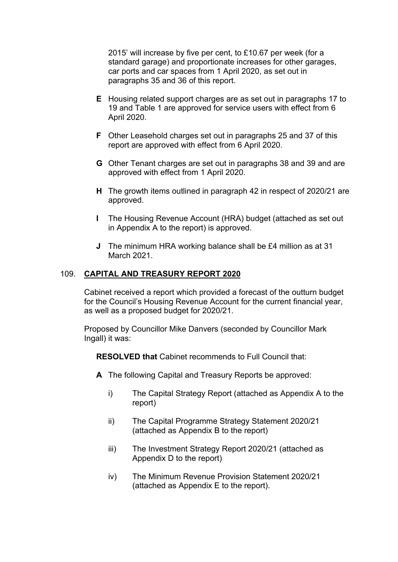2015' will increase by five per cent, to £10.67 per week (for a standard garage) and proportionate increases for other garages, car ports and car spaces from 1 April 2020, as set out in paragraphs 35 and 36 of this report.

- **E** Housing related support charges are as set out in paragraphs 17 to 19 and Table 1 are approved for service users with effect from 6 April 2020.
- **F** Other Leasehold charges set out in paragraphs 25 and 37 of this report are approved with effect from 6 April 2020.
- **G** Other Tenant charges are set out in paragraphs 38 and 39 and are approved with effect from 1 April 2020.
- **H** The growth items outlined in paragraph 42 in respect of 2020/21 are approved.
- **I** The Housing Revenue Account (HRA) budget (attached as set out in Appendix A to the report) is approved.
- **J** The minimum HRA working balance shall be £4 million as at 31 March 2021.

#### 109. **CAPITAL AND TREASURY REPORT 2020**

Cabinet received a report which provided a forecast of the outturn budget for the Council's Housing Revenue Account for the current financial year, as well as a proposed budget for 2020/21.

Proposed by Councillor Mike Danvers (seconded by Councillor Mark Ingall) it was:

**RESOLVED that** Cabinet recommends to Full Council that:

- **A** The following Capital and Treasury Reports be approved:
	- i) The Capital Strategy Report (attached as Appendix A to the report)
	- ii) The Capital Programme Strategy Statement 2020/21 (attached as Appendix B to the report)
	- iii) The Investment Strategy Report 2020/21 (attached as Appendix D to the report)
	- iv) The Minimum Revenue Provision Statement 2020/21 (attached as Appendix E to the report).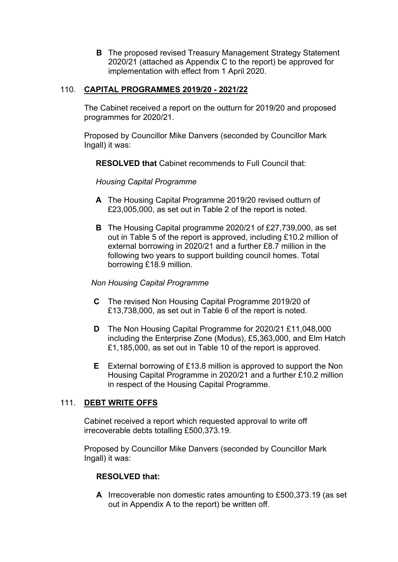**B** The proposed revised Treasury Management Strategy Statement 2020/21 (attached as Appendix C to the report) be approved for implementation with effect from 1 April 2020.

## 110. **CAPITAL PROGRAMMES 2019/20 - 2021/22**

The Cabinet received a report on the outturn for 2019/20 and proposed programmes for 2020/21.

Proposed by Councillor Mike Danvers (seconded by Councillor Mark Ingall) it was:

**RESOLVED that** Cabinet recommends to Full Council that:

*Housing Capital Programme*

- **A** The Housing Capital Programme 2019/20 revised outturn of £23,005,000, as set out in Table 2 of the report is noted.
- **B** The Housing Capital programme 2020/21 of £27,739,000, as set out in Table 5 of the report is approved, including £10.2 million of external borrowing in 2020/21 and a further £8.7 million in the following two years to support building council homes. Total borrowing £18.9 million.

#### *Non Housing Capital Programme*

- **C** The revised Non Housing Capital Programme 2019/20 of £13,738,000, as set out in Table 6 of the report is noted.
- **D** The Non Housing Capital Programme for 2020/21 £11,048,000 including the Enterprise Zone (Modus), £5,363,000, and Elm Hatch £1,185,000, as set out in Table 10 of the report is approved.
- **E** External borrowing of £13.8 million is approved to support the Non Housing Capital Programme in 2020/21 and a further £10.2 million in respect of the Housing Capital Programme.

#### 111. **DEBT WRITE OFFS**

Cabinet received a report which requested approval to write off irrecoverable debts totalling £500,373.19.

Proposed by Councillor Mike Danvers (seconded by Councillor Mark Ingall) it was:

#### **RESOLVED that:**

**A** Irrecoverable non domestic rates amounting to £500,373.19 (as set out in Appendix A to the report) be written off.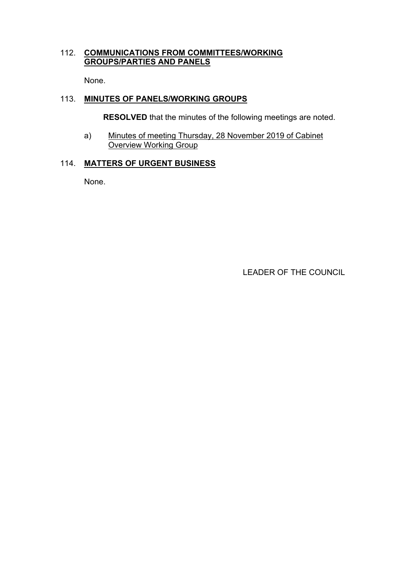## 112. **COMMUNICATIONS FROM COMMITTEES/WORKING GROUPS/PARTIES AND PANELS**

None.

## 113. **MINUTES OF PANELS/WORKING GROUPS**

**RESOLVED** that the minutes of the following meetings are noted.

a) Minutes of meeting Thursday, 28 November 2019 of Cabinet Overview Working Group

#### 114. **MATTERS OF URGENT BUSINESS**

None.

LEADER OF THE COUNCIL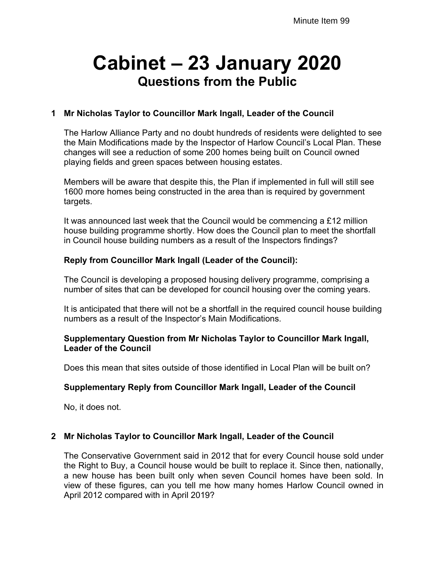# **Cabinet – 23 January 2020 Questions from the Public**

## **1 Mr Nicholas Taylor to Councillor Mark Ingall, Leader of the Council**

The Harlow Alliance Party and no doubt hundreds of residents were delighted to see the Main Modifications made by the Inspector of Harlow Council's Local Plan. These changes will see a reduction of some 200 homes being built on Council owned playing fields and green spaces between housing estates.

Members will be aware that despite this, the Plan if implemented in full will still see 1600 more homes being constructed in the area than is required by government targets.

It was announced last week that the Council would be commencing a £12 million house building programme shortly. How does the Council plan to meet the shortfall in Council house building numbers as a result of the Inspectors findings?

## **Reply from Councillor Mark Ingall (Leader of the Council):**

The Council is developing a proposed housing delivery programme, comprising a number of sites that can be developed for council housing over the coming years.

It is anticipated that there will not be a shortfall in the required council house building numbers as a result of the Inspector's Main Modifications.

#### **Supplementary Question from Mr Nicholas Taylor to Councillor Mark Ingall, Leader of the Council**

Does this mean that sites outside of those identified in Local Plan will be built on?

#### **Supplementary Reply from Councillor Mark Ingall, Leader of the Council**

No, it does not.

## **2 Mr Nicholas Taylor to Councillor Mark Ingall, Leader of the Council**

The Conservative Government said in 2012 that for every Council house sold under the Right to Buy, a Council house would be built to replace it. Since then, nationally, a new house has been built only when seven Council homes have been sold. In view of these figures, can you tell me how many homes Harlow Council owned in April 2012 compared with in April 2019?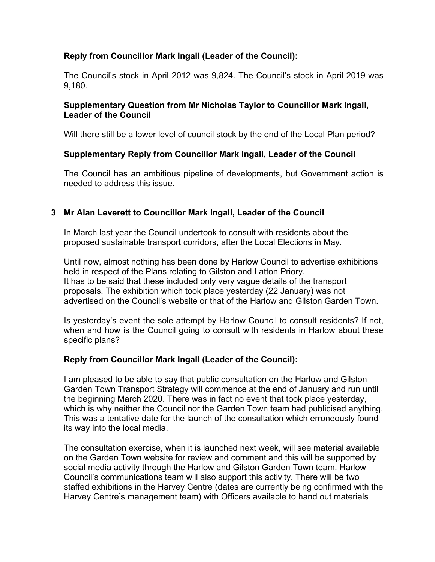## **Reply from Councillor Mark Ingall (Leader of the Council):**

The Council's stock in April 2012 was 9,824. The Council's stock in April 2019 was 9,180.

#### **Supplementary Question from Mr Nicholas Taylor to Councillor Mark Ingall, Leader of the Council**

Will there still be a lower level of council stock by the end of the Local Plan period?

## **Supplementary Reply from Councillor Mark Ingall, Leader of the Council**

The Council has an ambitious pipeline of developments, but Government action is needed to address this issue.

## **3 Mr Alan Leverett to Councillor Mark Ingall, Leader of the Council**

In March last year the Council undertook to consult with residents about the proposed sustainable transport corridors, after the Local Elections in May.

Until now, almost nothing has been done by Harlow Council to advertise exhibitions held in respect of the Plans relating to Gilston and Latton Priory. It has to be said that these included only very vague details of the transport proposals. The exhibition which took place yesterday (22 January) was not advertised on the Council's website or that of the Harlow and Gilston Garden Town.

Is yesterday's event the sole attempt by Harlow Council to consult residents? If not, when and how is the Council going to consult with residents in Harlow about these specific plans?

## **Reply from Councillor Mark Ingall (Leader of the Council):**

I am pleased to be able to say that public consultation on the Harlow and Gilston Garden Town Transport Strategy will commence at the end of January and run until the beginning March 2020. There was in fact no event that took place yesterday, which is why neither the Council nor the Garden Town team had publicised anything. This was a tentative date for the launch of the consultation which erroneously found its way into the local media.

The consultation exercise, when it is launched next week, will see material available on the Garden Town website for review and comment and this will be supported by social media activity through the Harlow and Gilston Garden Town team. Harlow Council's communications team will also support this activity. There will be two staffed exhibitions in the Harvey Centre (dates are currently being confirmed with the Harvey Centre's management team) with Officers available to hand out materials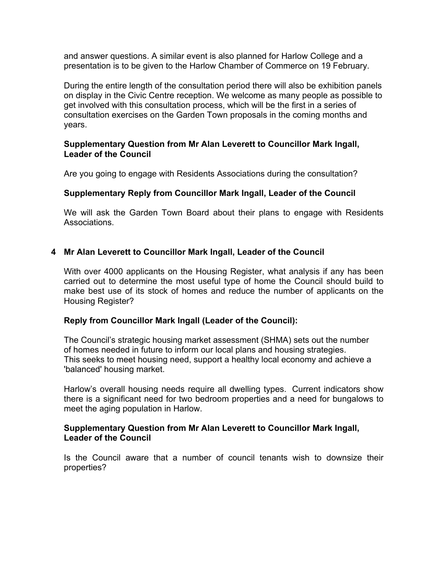and answer questions. A similar event is also planned for Harlow College and a presentation is to be given to the Harlow Chamber of Commerce on 19 February.

During the entire length of the consultation period there will also be exhibition panels on display in the Civic Centre reception. We welcome as many people as possible to get involved with this consultation process, which will be the first in a series of consultation exercises on the Garden Town proposals in the coming months and years.

#### **Supplementary Question from Mr Alan Leverett to Councillor Mark Ingall, Leader of the Council**

Are you going to engage with Residents Associations during the consultation?

#### **Supplementary Reply from Councillor Mark Ingall, Leader of the Council**

We will ask the Garden Town Board about their plans to engage with Residents Associations.

#### **4 Mr Alan Leverett to Councillor Mark Ingall, Leader of the Council**

With over 4000 applicants on the Housing Register, what analysis if any has been carried out to determine the most useful type of home the Council should build to make best use of its stock of homes and reduce the number of applicants on the Housing Register?

#### **Reply from Councillor Mark Ingall (Leader of the Council):**

The Council's strategic housing market assessment (SHMA) sets out the number of homes needed in future to inform our local plans and housing strategies. This seeks to meet housing need, support a healthy local economy and achieve a 'balanced' housing market.

Harlow's overall housing needs require all dwelling types. Current indicators show there is a significant need for two bedroom properties and a need for bungalows to meet the aging population in Harlow.

#### **Supplementary Question from Mr Alan Leverett to Councillor Mark Ingall, Leader of the Council**

Is the Council aware that a number of council tenants wish to downsize their properties?